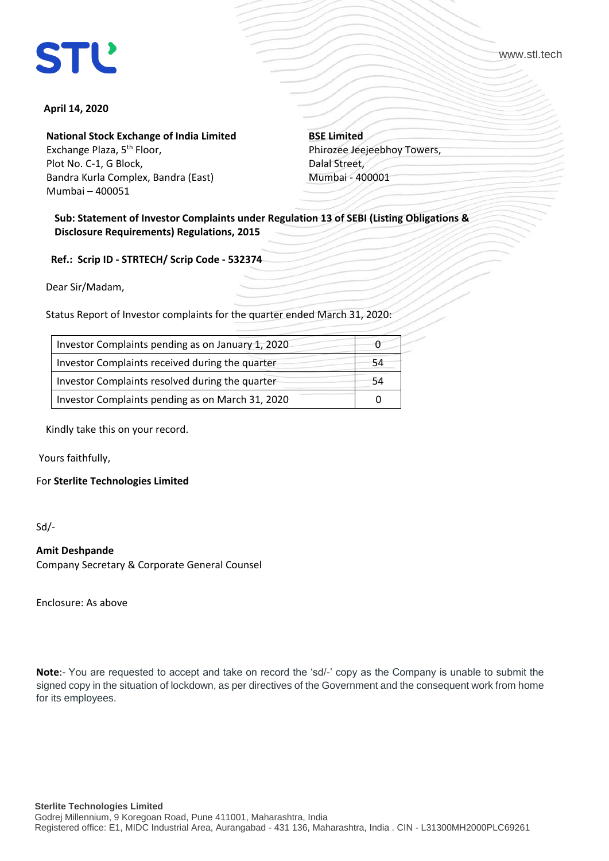www.stl.tech

# **April 14, 2020**

**National Stock Exchange of India Limited**

Exchange Plaza, 5<sup>th</sup> Floor, Plot No. C-1, G Block, Bandra Kurla Complex, Bandra (East) Mumbai – 400051

**BSE Limited** Phirozee Jeejeebhoy Towers, Dalal Street, Mumbai - 400001

**Sub: Statement of Investor Complaints under Regulation 13 of SEBI (Listing Obligations & Disclosure Requirements) Regulations, 2015**

 **Ref.: Scrip ID - STRTECH/ Scrip Code - 532374**

Dear Sir/Madam,

Status Report of Investor complaints for the quarter ended March 31, 2020:

| Investor Complaints pending as on January 1, 2020 |    |
|---------------------------------------------------|----|
| Investor Complaints received during the quarter   | 54 |
| Investor Complaints resolved during the quarter   | 54 |
| Investor Complaints pending as on March 31, 2020  |    |

Kindly take this on your record.

Yours faithfully,

For **Sterlite Technologies Limited**

Sd/-

## **Amit Deshpande**

Company Secretary & Corporate General Counsel

Enclosure: As above

**Note**:- You are requested to accept and take on record the 'sd/-' copy as the Company is unable to submit the signed copy in the situation of lockdown, as per directives of the Government and the consequent work from home for its employees.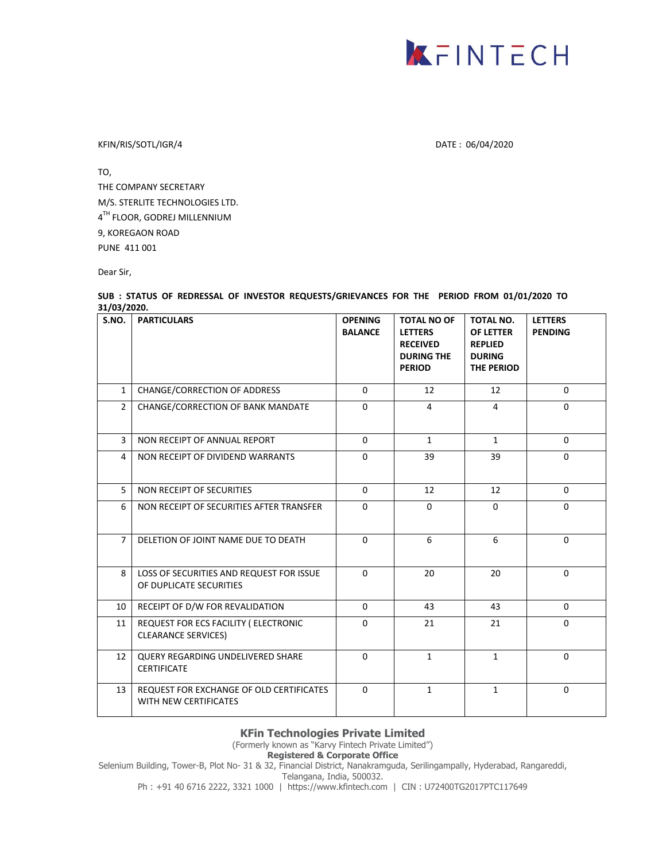

KFIN/RIS/SOTL/IGR/4 DATE : 06/04/2020

TO, THE COMPANY SECRETARY M/S. STERLITE TECHNOLOGIES LTD. 4<sup>TH</sup> FLOOR, GODREJ MILLENNIUM 9, KOREGAON ROAD PUNE 411 001

Dear Sir,

### **SUB : STATUS OF REDRESSAL OF INVESTOR REQUESTS/GRIEVANCES FOR THE PERIOD FROM 01/01/2020 TO 31/03/2020.**

| S.NO.          | <b>PARTICULARS</b>                                                  | <b>OPENING</b><br><b>BALANCE</b> | <b>TOTAL NO OF</b><br><b>LETTERS</b><br><b>RECEIVED</b><br><b>DURING THE</b><br><b>PERIOD</b> | <b>TOTAL NO.</b><br><b>OF LETTER</b><br><b>REPLIED</b><br><b>DURING</b><br><b>THE PERIOD</b> | <b>LETTERS</b><br><b>PENDING</b> |
|----------------|---------------------------------------------------------------------|----------------------------------|-----------------------------------------------------------------------------------------------|----------------------------------------------------------------------------------------------|----------------------------------|
| $\mathbf{1}$   | CHANGE/CORRECTION OF ADDRESS                                        | $\Omega$                         | 12                                                                                            | 12                                                                                           | $\Omega$                         |
| $\overline{2}$ | CHANGE/CORRECTION OF BANK MANDATE                                   | $\Omega$                         | $\overline{4}$                                                                                | 4                                                                                            | $\Omega$                         |
| $\overline{3}$ | NON RECEIPT OF ANNUAL REPORT                                        | $\Omega$                         | $\mathbf{1}$                                                                                  | $\mathbf{1}$                                                                                 | $\Omega$                         |
| $\overline{4}$ | NON RECEIPT OF DIVIDEND WARRANTS                                    | $\Omega$                         | 39                                                                                            | 39                                                                                           | $\Omega$                         |
| 5 <sup>1</sup> | NON RECEIPT OF SECURITIES                                           | $\Omega$                         | 12                                                                                            | 12                                                                                           | $\Omega$                         |
| 6              | NON RECEIPT OF SECURITIES AFTER TRANSFER                            | $\Omega$                         | $\Omega$                                                                                      | $\Omega$                                                                                     | $\Omega$                         |
| $\overline{7}$ | DELETION OF JOINT NAME DUE TO DEATH                                 | $\Omega$                         | 6                                                                                             | 6                                                                                            | $\Omega$                         |
| 8              | LOSS OF SECURITIES AND REQUEST FOR ISSUE<br>OF DUPLICATE SECURITIES | $\Omega$                         | 20                                                                                            | 20                                                                                           | $\Omega$                         |
| 10             | RECEIPT OF D/W FOR REVALIDATION                                     | $\Omega$                         | 43                                                                                            | 43                                                                                           | $\Omega$                         |
| 11             | REQUEST FOR ECS FACILITY ( ELECTRONIC<br><b>CLEARANCE SERVICES)</b> | $\Omega$                         | 21                                                                                            | 21                                                                                           | $\Omega$                         |
| 12             | QUERY REGARDING UNDELIVERED SHARE<br><b>CERTIFICATE</b>             | $\Omega$                         | $\mathbf{1}$                                                                                  | $\mathbf{1}$                                                                                 | $\Omega$                         |
| 13             | REQUEST FOR EXCHANGE OF OLD CERTIFICATES<br>WITH NEW CERTIFICATES   | $\Omega$                         | $\mathbf{1}$                                                                                  | $\mathbf{1}$                                                                                 | $\Omega$                         |

## **KFin Technologies Private Limited**

(Formerly known as "Karvy Fintech Private Limited")

**Registered & Corporate Office**

Selenium Building, Tower-B, Plot No- 31 & 32, Financial District, Nanakramguda, Serilingampally, Hyderabad, Rangareddi, Telangana, India, 500032.

Ph : +91 40 6716 2222, 3321 1000 | https://www.kfintech.com | CIN : U72400TG2017PTC117649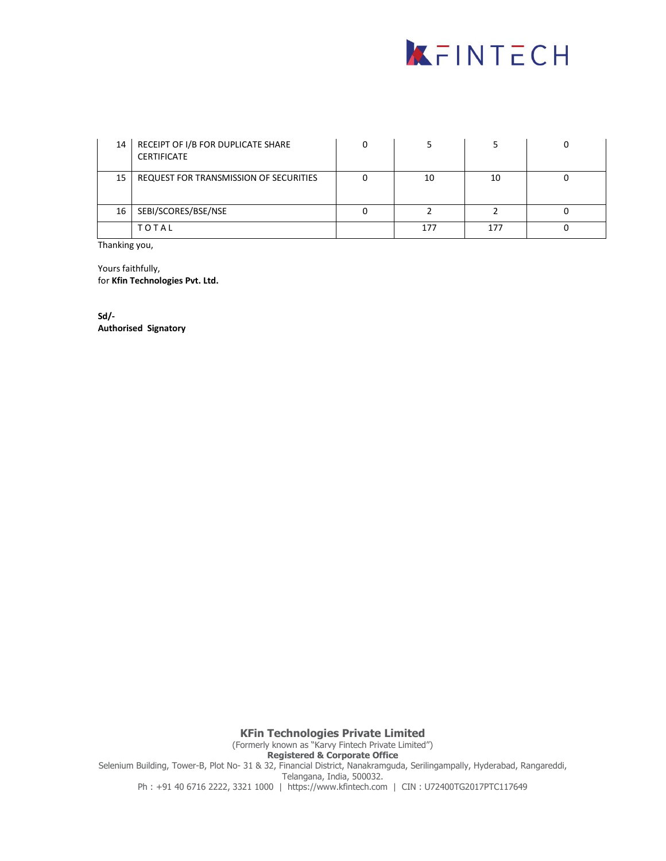

|                 | 14   RECEIPT OF I/B FOR DUPLICATE SHARE<br><b>CERTIFICATE</b> |     |     |  |
|-----------------|---------------------------------------------------------------|-----|-----|--|
| 15              | REQUEST FOR TRANSMISSION OF SECURITIES                        | 10  | 10  |  |
| 16 <sup>1</sup> | SEBI/SCORES/BSE/NSE                                           |     |     |  |
|                 | TOTAL                                                         | 177 | 177 |  |

Thanking you,

Yours faithfully, for **Kfin Technologies Pvt. Ltd.**

**Sd/- Authorised Signatory**

**KFin Technologies Private Limited** (Formerly known as "Karvy Fintech Private Limited") **Registered & Corporate Office** Selenium Building, Tower-B, Plot No- 31 & 32, Financial District, Nanakramguda, Serilingampally, Hyderabad, Rangareddi, Telangana, India, 500032. Ph : +91 40 6716 2222, 3321 1000 | https://www.kfintech.com | CIN : U72400TG2017PTC117649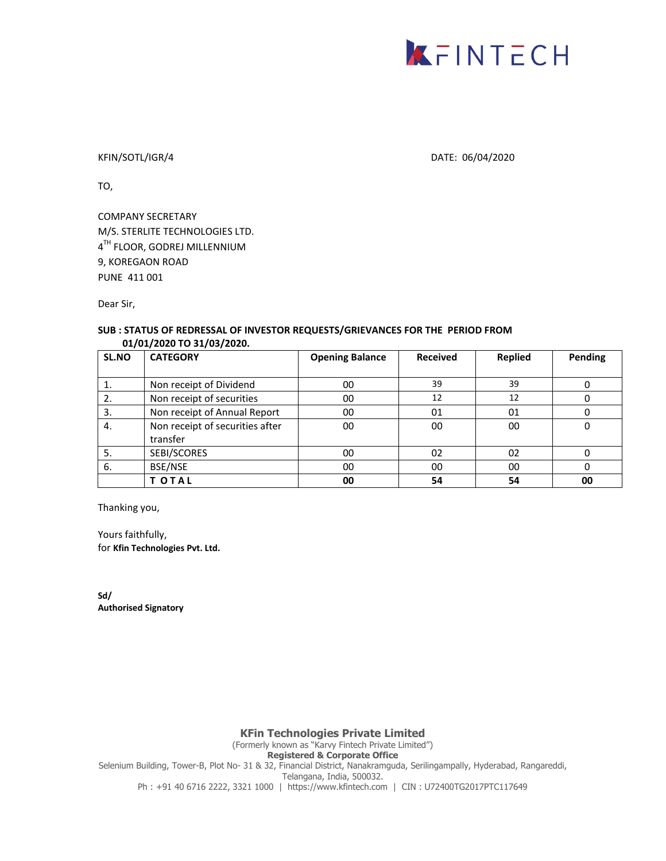

### KFIN/SOTL/IGR/4 DATE: 06/04/2020

TO,

COMPANY SECRETARY M/S. STERLITE TECHNOLOGIES LTD. 4<sup>TH</sup> FLOOR, GODREJ MILLENNIUM 9, KOREGAON ROAD PUNE 411 001

Dear Sir,

### **SUB : STATUS OF REDRESSAL OF INVESTOR REQUESTS/GRIEVANCES FOR THE PERIOD FROM 01/01/2020 TO 31/03/2020.**

| SL.NO | <b>CATEGORY</b>                 | <b>Opening Balance</b> | <b>Received</b> | <b>Replied</b> | Pending |
|-------|---------------------------------|------------------------|-----------------|----------------|---------|
|       |                                 |                        |                 |                |         |
|       | Non receipt of Dividend         | 00                     | 39              | 39             |         |
| 2.    | Non receipt of securities       | 00                     | 12              | 12             |         |
| 3.    | Non receipt of Annual Report    | 00                     | 01              | 01             |         |
| 4.    | Non receipt of securities after | 00                     | 00              | 00             | 0       |
|       | transfer                        |                        |                 |                |         |
| 5.    | SEBI/SCORES                     | 00                     | 02              | 02             |         |
| 6.    | BSE/NSE                         | 00                     | 00              | 00             |         |
|       | T OTAL                          | 00                     | 54              | 54             | 00      |

Thanking you,

Yours faithfully, for **Kfin Technologies Pvt. Ltd.**

**Sd/ Authorised Signatory**

**KFin Technologies Private Limited**

(Formerly known as "Karvy Fintech Private Limited")

**Registered & Corporate Office**

Selenium Building, Tower-B, Plot No- 31 & 32, Financial District, Nanakramguda, Serilingampally, Hyderabad, Rangareddi, Telangana, India, 500032.

Ph : +91 40 6716 2222, 3321 1000 | https://www.kfintech.com | CIN : U72400TG2017PTC117649